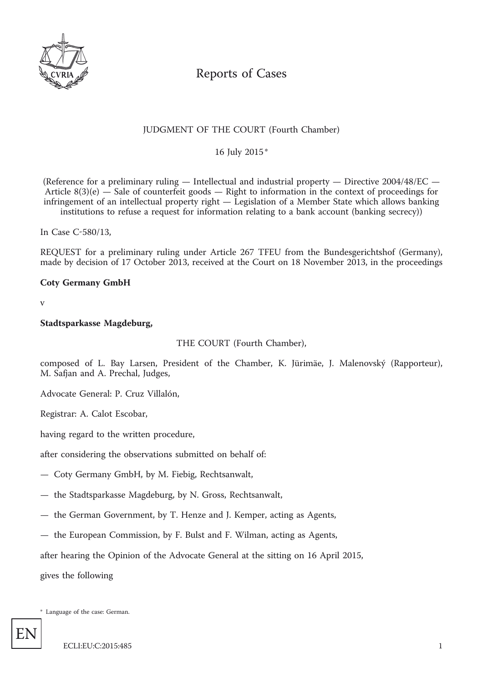

# Reports of Cases

# JUDGMENT OF THE COURT (Fourth Chamber)

\* 16 July 2015

(Reference for a preliminary ruling — Intellectual and industrial property — Directive 2004/48/EC — Article  $8(3)(e)$  – Sale of counterfeit goods – Right to information in the context of proceedings for infringement of an intellectual property right — Legislation of a Member State which allows banking institutions to refuse a request for information relating to a bank account (banking secrecy))

In Case C-580/13,

REQUEST for a preliminary ruling under Article 267 TFEU from the Bundesgerichtshof (Germany), made by decision of 17 October 2013, received at the Court on 18 November 2013, in the proceedings

## **Coty Germany GmbH**

v

#### **Stadtsparkasse Magdeburg,**

THE COURT (Fourth Chamber),

composed of L. Bay Larsen, President of the Chamber, K. Jürimäe, J. Malenovský (Rapporteur), M. Safjan and A. Prechal, Judges,

Advocate General: P. Cruz Villalón,

Registrar: A. Calot Escobar,

having regard to the written procedure,

after considering the observations submitted on behalf of:

— Coty Germany GmbH, by M. Fiebig, Rechtsanwalt,

— the Stadtsparkasse Magdeburg, by N. Gross, Rechtsanwalt,

- the German Government, by T. Henze and J. Kemper, acting as Agents,
- the European Commission, by F. Bulst and F. Wilman, acting as Agents,

after hearing the Opinion of the Advocate General at the sitting on 16 April 2015,

gives the following

\* Language of the case: German.

EN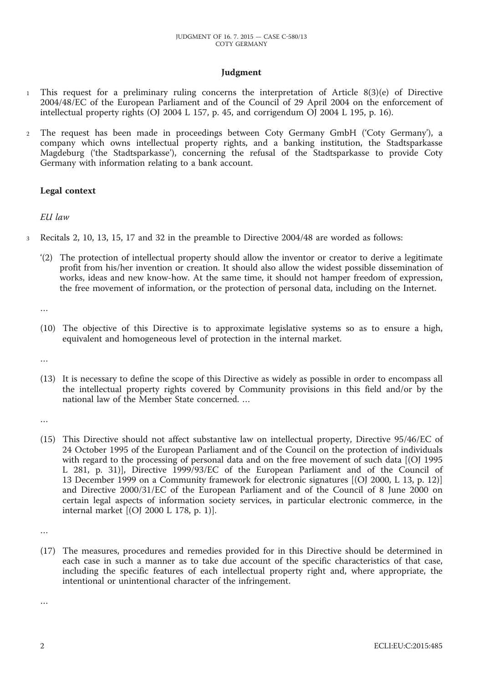## **Judgment**

- 1 This request for a preliminary ruling concerns the interpretation of Article 8(3)(e) of Directive 2004/48/EC of the European Parliament and of the Council of 29 April 2004 on the enforcement of intellectual property rights (OJ 2004 L 157, p. 45, and corrigendum OJ 2004 L 195, p. 16).
- 2 The request has been made in proceedings between Coty Germany GmbH ('Coty Germany'), a company which owns intellectual property rights, and a banking institution, the Stadtsparkasse Magdeburg ('the Stadtsparkasse'), concerning the refusal of the Stadtsparkasse to provide Coty Germany with information relating to a bank account.

## **Legal context**

## *EU law*

- 3 Recitals 2, 10, 13, 15, 17 and 32 in the preamble to Directive 2004/48 are worded as follows:
	- '(2) The protection of intellectual property should allow the inventor or creator to derive a legitimate profit from his/her invention or creation. It should also allow the widest possible dissemination of works, ideas and new know-how. At the same time, it should not hamper freedom of expression, the free movement of information, or the protection of personal data, including on the Internet.

…

- (10) The objective of this Directive is to approximate legislative systems so as to ensure a high, equivalent and homogeneous level of protection in the internal market.
- …
- (13) It is necessary to define the scope of this Directive as widely as possible in order to encompass all the intellectual property rights covered by Community provisions in this field and/or by the national law of the Member State concerned. …
- …
- (15) This Directive should not affect substantive law on intellectual property, Directive 95/46/EC of 24 October 1995 of the European Parliament and of the Council on the protection of individuals with regard to the processing of personal data and on the free movement of such data [(OJ 1995 L 281, p. 31)], Directive 1999/93/EC of the European Parliament and of the Council of 13 December 1999 on a Community framework for electronic signatures [(OJ 2000, L 13, p. 12)] and Directive 2000/31/EC of the European Parliament and of the Council of 8 June 2000 on certain legal aspects of information society services, in particular electronic commerce, in the internal market [(OJ 2000 L 178, p. 1)].

(17) The measures, procedures and remedies provided for in this Directive should be determined in each case in such a manner as to take due account of the specific characteristics of that case, including the specific features of each intellectual property right and, where appropriate, the intentional or unintentional character of the infringement.

…

<sup>…</sup>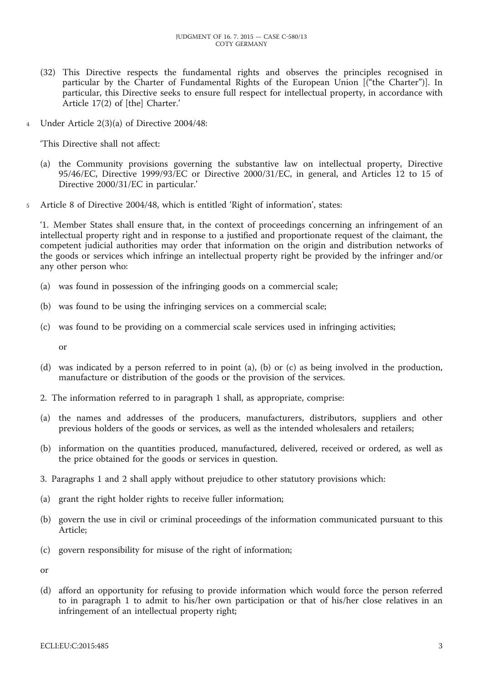- (32) This Directive respects the fundamental rights and observes the principles recognised in particular by the Charter of Fundamental Rights of the European Union [("the Charter")]. In particular, this Directive seeks to ensure full respect for intellectual property, in accordance with Article 17(2) of [the] Charter.'
- 4 Under Article 2(3)(a) of Directive 2004/48:

'This Directive shall not affect:

- (a) the Community provisions governing the substantive law on intellectual property, Directive 95/46/EC, Directive 1999/93/EC or Directive 2000/31/EC, in general, and Articles 12 to 15 of Directive 2000/31/EC in particular.'
- 5 Article 8 of Directive 2004/48, which is entitled 'Right of information', states:

'1. Member States shall ensure that, in the context of proceedings concerning an infringement of an intellectual property right and in response to a justified and proportionate request of the claimant, the competent judicial authorities may order that information on the origin and distribution networks of the goods or services which infringe an intellectual property right be provided by the infringer and/or any other person who:

- (a) was found in possession of the infringing goods on a commercial scale;
- (b) was found to be using the infringing services on a commercial scale;
- (c) was found to be providing on a commercial scale services used in infringing activities;

or

- (d) was indicated by a person referred to in point (a), (b) or (c) as being involved in the production, manufacture or distribution of the goods or the provision of the services.
- 2. The information referred to in paragraph 1 shall, as appropriate, comprise:
- (a) the names and addresses of the producers, manufacturers, distributors, suppliers and other previous holders of the goods or services, as well as the intended wholesalers and retailers;
- (b) information on the quantities produced, manufactured, delivered, received or ordered, as well as the price obtained for the goods or services in question.
- 3. Paragraphs 1 and 2 shall apply without prejudice to other statutory provisions which:
- (a) grant the right holder rights to receive fuller information;
- (b) govern the use in civil or criminal proceedings of the information communicated pursuant to this Article;
- (c) govern responsibility for misuse of the right of information;

or

(d) afford an opportunity for refusing to provide information which would force the person referred to in paragraph 1 to admit to his/her own participation or that of his/her close relatives in an infringement of an intellectual property right;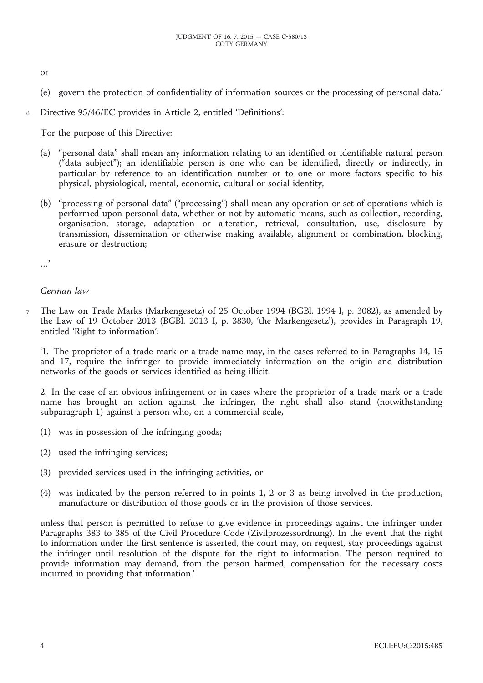or

- (e) govern the protection of confidentiality of information sources or the processing of personal data.'
- 6 Directive 95/46/EC provides in Article 2, entitled 'Definitions':

'For the purpose of this Directive:

- (a) "personal data" shall mean any information relating to an identified or identifiable natural person ("data subject"); an identifiable person is one who can be identified, directly or indirectly, in particular by reference to an identification number or to one or more factors specific to his physical, physiological, mental, economic, cultural or social identity;
- (b) "processing of personal data" ("processing") shall mean any operation or set of operations which is performed upon personal data, whether or not by automatic means, such as collection, recording, organisation, storage, adaptation or alteration, retrieval, consultation, use, disclosure by transmission, dissemination or otherwise making available, alignment or combination, blocking, erasure or destruction;

.<br>. . .

#### *German law*

7 The Law on Trade Marks (Markengesetz) of 25 October 1994 (BGBl. 1994 I, p. 3082), as amended by the Law of 19 October 2013 (BGBl. 2013 I, p. 3830, 'the Markengesetz'), provides in Paragraph 19, entitled 'Right to information':

'1. The proprietor of a trade mark or a trade name may, in the cases referred to in Paragraphs 14, 15 and 17, require the infringer to provide immediately information on the origin and distribution networks of the goods or services identified as being illicit.

2. In the case of an obvious infringement or in cases where the proprietor of a trade mark or a trade name has brought an action against the infringer, the right shall also stand (notwithstanding subparagraph 1) against a person who, on a commercial scale,

- (1) was in possession of the infringing goods;
- (2) used the infringing services;
- (3) provided services used in the infringing activities, or
- (4) was indicated by the person referred to in points 1, 2 or 3 as being involved in the production, manufacture or distribution of those goods or in the provision of those services,

unless that person is permitted to refuse to give evidence in proceedings against the infringer under Paragraphs 383 to 385 of the Civil Procedure Code (Zivilprozessordnung). In the event that the right to information under the first sentence is asserted, the court may, on request, stay proceedings against the infringer until resolution of the dispute for the right to information. The person required to provide information may demand, from the person harmed, compensation for the necessary costs incurred in providing that information.'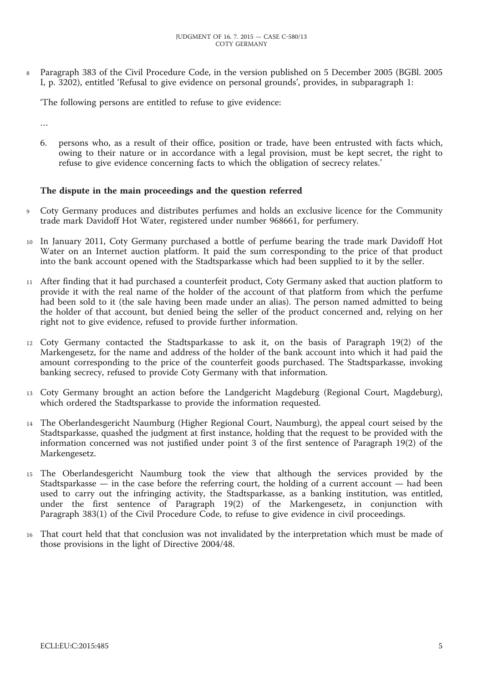8 Paragraph 383 of the Civil Procedure Code, in the version published on 5 December 2005 (BGBl. 2005 I, p. 3202), entitled 'Refusal to give evidence on personal grounds', provides, in subparagraph 1:

'The following persons are entitled to refuse to give evidence:

…

6. persons who, as a result of their office, position or trade, have been entrusted with facts which, owing to their nature or in accordance with a legal provision, must be kept secret, the right to refuse to give evidence concerning facts to which the obligation of secrecy relates.'

## **The dispute in the main proceedings and the question referred**

- 9 Coty Germany produces and distributes perfumes and holds an exclusive licence for the Community trade mark Davidoff Hot Water, registered under number 968661, for perfumery.
- 10 In January 2011, Coty Germany purchased a bottle of perfume bearing the trade mark Davidoff Hot Water on an Internet auction platform. It paid the sum corresponding to the price of that product into the bank account opened with the Stadtsparkasse which had been supplied to it by the seller.
- 11 After finding that it had purchased a counterfeit product, Coty Germany asked that auction platform to provide it with the real name of the holder of the account of that platform from which the perfume had been sold to it (the sale having been made under an alias). The person named admitted to being the holder of that account, but denied being the seller of the product concerned and, relying on her right not to give evidence, refused to provide further information.
- 12 Coty Germany contacted the Stadtsparkasse to ask it, on the basis of Paragraph 19(2) of the Markengesetz, for the name and address of the holder of the bank account into which it had paid the amount corresponding to the price of the counterfeit goods purchased. The Stadtsparkasse, invoking banking secrecy, refused to provide Coty Germany with that information.
- 13 Coty Germany brought an action before the Landgericht Magdeburg (Regional Court, Magdeburg), which ordered the Stadtsparkasse to provide the information requested.
- 14 The Oberlandesgericht Naumburg (Higher Regional Court, Naumburg), the appeal court seised by the Stadtsparkasse, quashed the judgment at first instance, holding that the request to be provided with the information concerned was not justified under point 3 of the first sentence of Paragraph 19(2) of the Markengesetz.
- 15 The Oberlandesgericht Naumburg took the view that although the services provided by the Stadtsparkasse  $\overline{\phantom{a}}$  in the case before the referring court, the holding of a current account  $\overline{\phantom{a}}$  had been used to carry out the infringing activity, the Stadtsparkasse, as a banking institution, was entitled, under the first sentence of Paragraph 19(2) of the Markengesetz, in conjunction with Paragraph 383(1) of the Civil Procedure Code, to refuse to give evidence in civil proceedings.
- 16 That court held that that conclusion was not invalidated by the interpretation which must be made of those provisions in the light of Directive 2004/48.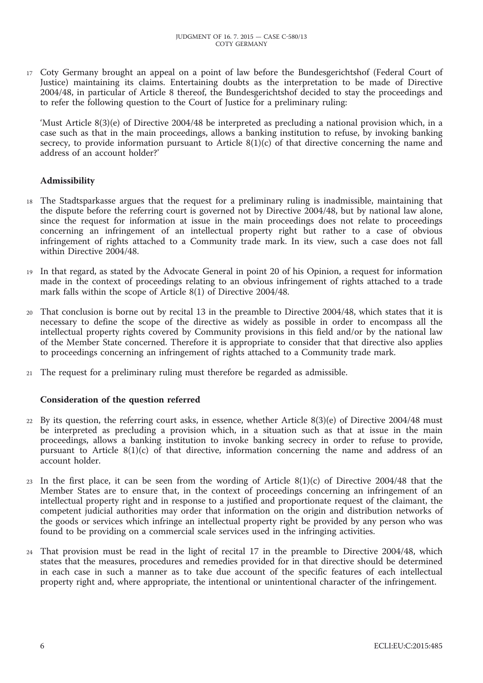17 Coty Germany brought an appeal on a point of law before the Bundesgerichtshof (Federal Court of Justice) maintaining its claims. Entertaining doubts as the interpretation to be made of Directive 2004/48, in particular of Article 8 thereof, the Bundesgerichtshof decided to stay the proceedings and to refer the following question to the Court of Justice for a preliminary ruling:

'Must Article 8(3)(e) of Directive 2004/48 be interpreted as precluding a national provision which, in a case such as that in the main proceedings, allows a banking institution to refuse, by invoking banking secrecy, to provide information pursuant to Article  $8(1)(c)$  of that directive concerning the name and address of an account holder?'

## **Admissibility**

- 18 The Stadtsparkasse argues that the request for a preliminary ruling is inadmissible, maintaining that the dispute before the referring court is governed not by Directive 2004/48, but by national law alone, since the request for information at issue in the main proceedings does not relate to proceedings concerning an infringement of an intellectual property right but rather to a case of obvious infringement of rights attached to a Community trade mark. In its view, such a case does not fall within Directive 2004/48.
- 19 In that regard, as stated by the Advocate General in point 20 of his Opinion, a request for information made in the context of proceedings relating to an obvious infringement of rights attached to a trade mark falls within the scope of Article 8(1) of Directive 2004/48.
- 20 That conclusion is borne out by recital 13 in the preamble to Directive 2004/48, which states that it is necessary to define the scope of the directive as widely as possible in order to encompass all the intellectual property rights covered by Community provisions in this field and/or by the national law of the Member State concerned. Therefore it is appropriate to consider that that directive also applies to proceedings concerning an infringement of rights attached to a Community trade mark.
- 21 The request for a preliminary ruling must therefore be regarded as admissible.

## **Consideration of the question referred**

- 22 By its question, the referring court asks, in essence, whether Article 8(3)(e) of Directive 2004/48 must be interpreted as precluding a provision which, in a situation such as that at issue in the main proceedings, allows a banking institution to invoke banking secrecy in order to refuse to provide, pursuant to Article 8(1)(c) of that directive, information concerning the name and address of an account holder.
- 23 In the first place, it can be seen from the wording of Article 8(1)(c) of Directive 2004/48 that the Member States are to ensure that, in the context of proceedings concerning an infringement of an intellectual property right and in response to a justified and proportionate request of the claimant, the competent judicial authorities may order that information on the origin and distribution networks of the goods or services which infringe an intellectual property right be provided by any person who was found to be providing on a commercial scale services used in the infringing activities.
- 24 That provision must be read in the light of recital 17 in the preamble to Directive 2004/48, which states that the measures, procedures and remedies provided for in that directive should be determined in each case in such a manner as to take due account of the specific features of each intellectual property right and, where appropriate, the intentional or unintentional character of the infringement.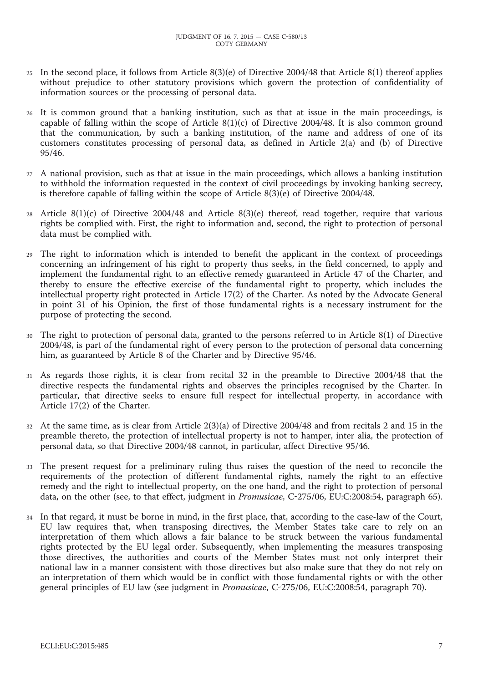- 25 In the second place, it follows from Article 8(3)(e) of Directive 2004/48 that Article 8(1) thereof applies without prejudice to other statutory provisions which govern the protection of confidentiality of information sources or the processing of personal data.
- 26 It is common ground that a banking institution, such as that at issue in the main proceedings, is capable of falling within the scope of Article  $8(1)(c)$  of Directive 2004/48. It is also common ground that the communication, by such a banking institution, of the name and address of one of its customers constitutes processing of personal data, as defined in Article 2(a) and (b) of Directive 95/46.
- 27 A national provision, such as that at issue in the main proceedings, which allows a banking institution to withhold the information requested in the context of civil proceedings by invoking banking secrecy, is therefore capable of falling within the scope of Article 8(3)(e) of Directive 2004/48.
- 28 Article 8(1)(c) of Directive 2004/48 and Article 8(3)(e) thereof, read together, require that various rights be complied with. First, the right to information and, second, the right to protection of personal data must be complied with.
- The right to information which is intended to benefit the applicant in the context of proceedings concerning an infringement of his right to property thus seeks, in the field concerned, to apply and implement the fundamental right to an effective remedy guaranteed in Article 47 of the Charter, and thereby to ensure the effective exercise of the fundamental right to property, which includes the intellectual property right protected in Article 17(2) of the Charter. As noted by the Advocate General in point 31 of his Opinion, the first of those fundamental rights is a necessary instrument for the purpose of protecting the second.
- 30 The right to protection of personal data, granted to the persons referred to in Article 8(1) of Directive 2004/48, is part of the fundamental right of every person to the protection of personal data concerning him, as guaranteed by Article 8 of the Charter and by Directive 95/46.
- 31 As regards those rights, it is clear from recital 32 in the preamble to Directive 2004/48 that the directive respects the fundamental rights and observes the principles recognised by the Charter. In particular, that directive seeks to ensure full respect for intellectual property, in accordance with Article 17(2) of the Charter.
- 32 At the same time, as is clear from Article 2(3)(a) of Directive 2004/48 and from recitals 2 and 15 in the preamble thereto, the protection of intellectual property is not to hamper, inter alia, the protection of personal data, so that Directive 2004/48 cannot, in particular, affect Directive 95/46.
- 33 The present request for a preliminary ruling thus raises the question of the need to reconcile the requirements of the protection of different fundamental rights, namely the right to an effective remedy and the right to intellectual property, on the one hand, and the right to protection of personal data, on the other (see, to that effect, judgment in *Promusicae*, C-275/06, EU:C:2008:54, paragraph 65).
- 34 In that regard, it must be borne in mind, in the first place, that, according to the case-law of the Court, EU law requires that, when transposing directives, the Member States take care to rely on an interpretation of them which allows a fair balance to be struck between the various fundamental rights protected by the EU legal order. Subsequently, when implementing the measures transposing those directives, the authorities and courts of the Member States must not only interpret their national law in a manner consistent with those directives but also make sure that they do not rely on an interpretation of them which would be in conflict with those fundamental rights or with the other general principles of EU law (see judgment in *Promusicae*, C-275/06, EU:C:2008:54, paragraph 70).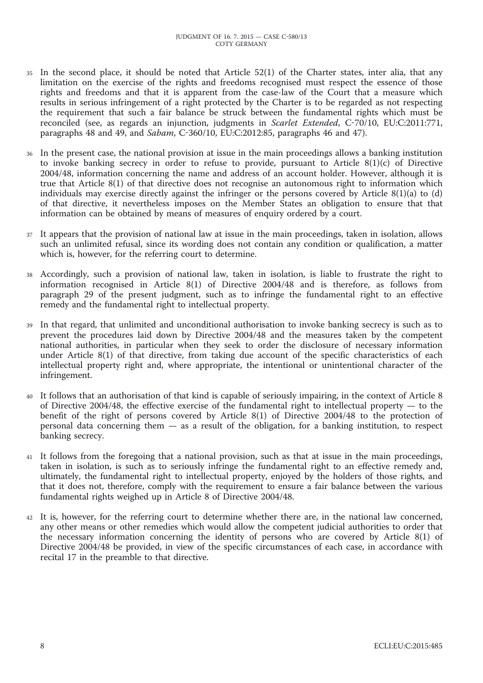- 35 In the second place, it should be noted that Article 52(1) of the Charter states, inter alia, that any limitation on the exercise of the rights and freedoms recognised must respect the essence of those rights and freedoms and that it is apparent from the case-law of the Court that a measure which results in serious infringement of a right protected by the Charter is to be regarded as not respecting the requirement that such a fair balance be struck between the fundamental rights which must be reconciled (see, as regards an injunction, judgments in *Scarlet Extended*, C-70/10, EU:C:2011:771, paragraphs 48 and 49, and *Sabam*, C-360/10, EU:C:2012:85, paragraphs 46 and 47).
- 36 In the present case, the national provision at issue in the main proceedings allows a banking institution to invoke banking secrecy in order to refuse to provide, pursuant to Article  $8(1)(c)$  of Directive 2004/48, information concerning the name and address of an account holder. However, although it is true that Article 8(1) of that directive does not recognise an autonomous right to information which individuals may exercise directly against the infringer or the persons covered by Article  $8(1)(a)$  to  $(d)$ of that directive, it nevertheless imposes on the Member States an obligation to ensure that that information can be obtained by means of measures of enquiry ordered by a court.
- 37 It appears that the provision of national law at issue in the main proceedings, taken in isolation, allows such an unlimited refusal, since its wording does not contain any condition or qualification, a matter which is, however, for the referring court to determine.
- 38 Accordingly, such a provision of national law, taken in isolation, is liable to frustrate the right to information recognised in Article 8(1) of Directive 2004/48 and is therefore, as follows from paragraph 29 of the present judgment, such as to infringe the fundamental right to an effective remedy and the fundamental right to intellectual property.
- In that regard, that unlimited and unconditional authorisation to invoke banking secrecy is such as to prevent the procedures laid down by Directive 2004/48 and the measures taken by the competent national authorities, in particular when they seek to order the disclosure of necessary information under Article 8(1) of that directive, from taking due account of the specific characteristics of each intellectual property right and, where appropriate, the intentional or unintentional character of the infringement.
- 40 It follows that an authorisation of that kind is capable of seriously impairing, in the context of Article 8 of Directive 2004/48, the effective exercise of the fundamental right to intellectual property — to the benefit of the right of persons covered by Article 8(1) of Directive 2004/48 to the protection of personal data concerning them — as a result of the obligation, for a banking institution, to respect banking secrecy.
- 41 It follows from the foregoing that a national provision, such as that at issue in the main proceedings, taken in isolation, is such as to seriously infringe the fundamental right to an effective remedy and, ultimately, the fundamental right to intellectual property, enjoyed by the holders of those rights, and that it does not, therefore, comply with the requirement to ensure a fair balance between the various fundamental rights weighed up in Article 8 of Directive 2004/48.
- 42 It is, however, for the referring court to determine whether there are, in the national law concerned, any other means or other remedies which would allow the competent judicial authorities to order that the necessary information concerning the identity of persons who are covered by Article 8(1) of Directive 2004/48 be provided, in view of the specific circumstances of each case, in accordance with recital 17 in the preamble to that directive.